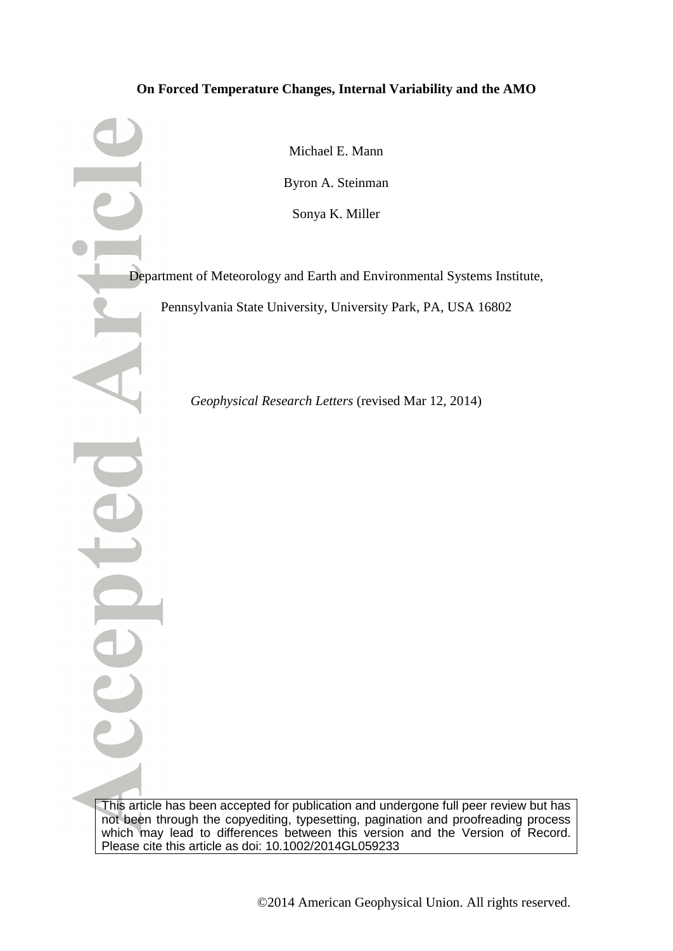### **On Forced Temperature Changes, Internal Variability and the AMO**

Michael E. Mann Byron A. Steinman Sonya K. Miller

Department of Meteorology and Earth and Environmental Systems Institute,

Pennsylvania State University, University Park, PA, USA 16802

*Geophysical Research Letters* (revised Mar 12, 2014)

This article has been accepted for publication and undergone full peer review but has not been through the copyediting, typesetting, pagination and proofreading process which may lead to differences between this version and the Version of Record. Please cite this article as doi: 10.1002/2014GL059233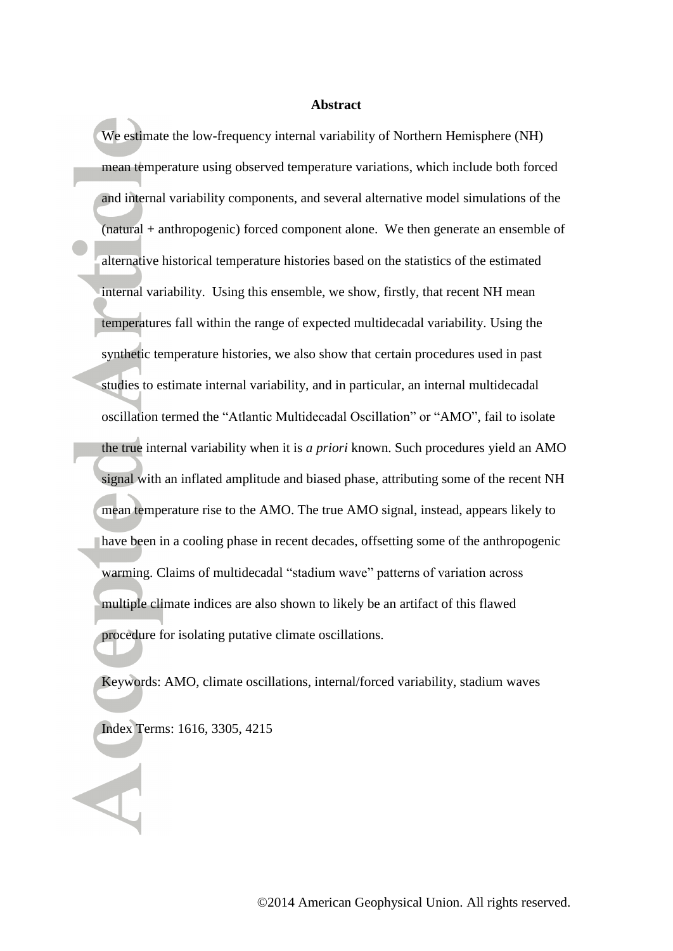#### **Abstract**

We estimate the low-frequency internal variability of Northern Hemisphere (NH) mean temperature using observed temperature variations, which include both forced and internal variability components, and several alternative model simulations of the (natural + anthropogenic) forced component alone. We then generate an ensemble of alternative historical temperature histories based on the statistics of the estimated internal variability. Using this ensemble, we show, firstly, that recent NH mean temperatures fall within the range of expected multidecadal variability. Using the synthetic temperature histories, we also show that certain procedures used in past studies to estimate internal variability, and in particular, an internal multidecadal oscillation termed the "Atlantic Multidecadal Oscillation" or "AMO", fail to isolate the true internal variability when it is *a priori* known. Such procedures yield an AMO signal with an inflated amplitude and biased phase, attributing some of the recent NH mean temperature rise to the AMO. The true AMO signal, instead, appears likely to have been in a cooling phase in recent decades, offsetting some of the anthropogenic warming. Claims of multidecadal "stadium wave" patterns of variation across multiple climate indices are also shown to likely be an artifact of this flawed procedure for isolating putative climate oscillations.

Keywords: AMO, climate oscillations, internal/forced variability, stadium waves

Index Terms: 1616, 3305, 4215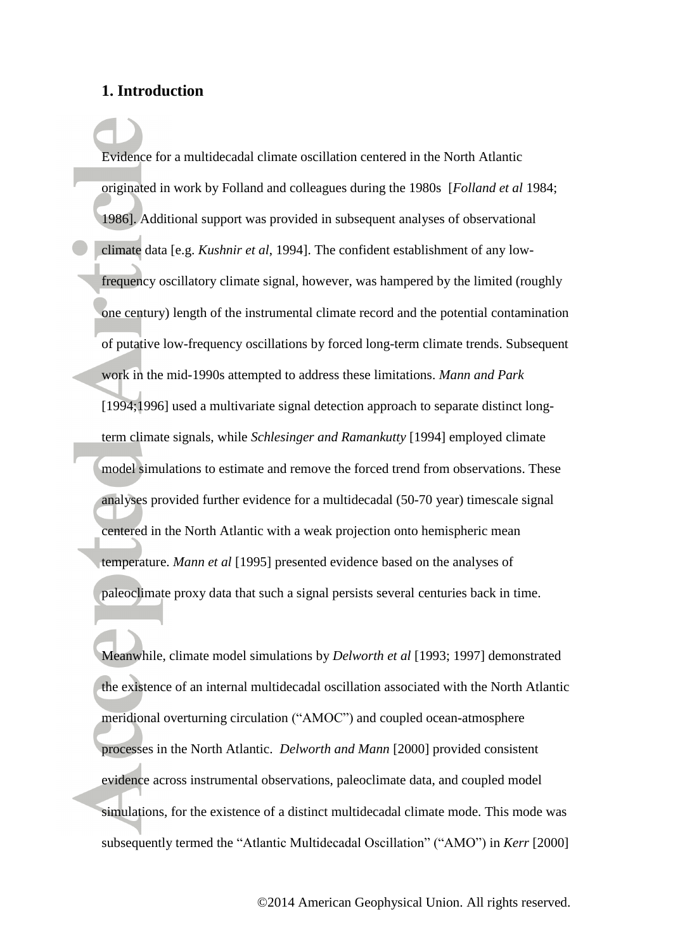### **1. Introduction**

Evidence for a multidecadal climate oscillation centered in the North Atlantic originated in work by Folland and colleagues during the 1980s [*Folland et al* 1984; 1986]. Additional support was provided in subsequent analyses of observational climate data [e.g. *Kushnir et al*, 1994]. The confident establishment of any lowfrequency oscillatory climate signal, however, was hampered by the limited (roughly one century) length of the instrumental climate record and the potential contamination of putative low-frequency oscillations by forced long-term climate trends. Subsequent work in the mid-1990s attempted to address these limitations. *Mann and Park* [1994;1996] used a multivariate signal detection approach to separate distinct longterm climate signals, while *Schlesinger and Ramankutty* [1994] employed climate model simulations to estimate and remove the forced trend from observations. These analyses provided further evidence for a multidecadal (50-70 year) timescale signal centered in the North Atlantic with a weak projection onto hemispheric mean temperature. *Mann et al* [1995] presented evidence based on the analyses of paleoclimate proxy data that such a signal persists several centuries back in time.

Meanwhile, climate model simulations by *Delworth et al* [1993; 1997] demonstrated the existence of an internal multidecadal oscillation associated with the North Atlantic meridional overturning circulation ("AMOC") and coupled ocean-atmosphere processes in the North Atlantic. *Delworth and Mann* [2000] provided consistent evidence across instrumental observations, paleoclimate data, and coupled model simulations, for the existence of a distinct multidecadal climate mode. This mode was subsequently termed the "Atlantic Multidecadal Oscillation" ("AMO") in *Kerr* [2000]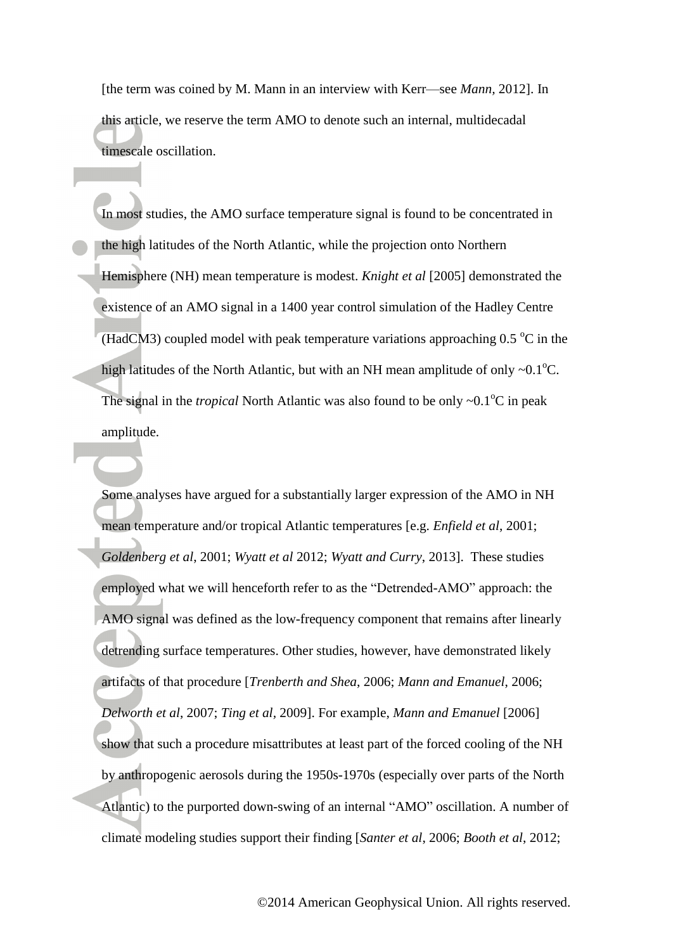[the term was coined by M. Mann in an interview with Kerr—see *Mann,* 2012]. In this article, we reserve the term AMO to denote such an internal, multidecadal timescale oscillation.

In most studies, the AMO surface temperature signal is found to be concentrated in the high latitudes of the North Atlantic, while the projection onto Northern Hemisphere (NH) mean temperature is modest. *Knight et al* [2005] demonstrated the existence of an AMO signal in a 1400 year control simulation of the Hadley Centre (HadCM3) coupled model with peak temperature variations approaching  $0.5\degree$ C in the high latitudes of the North Atlantic, but with an NH mean amplitude of only  $\sim 0.1^{\circ}C$ . The signal in the *tropical* North Atlantic was also found to be only  $\sim 0.1^{\circ}C$  in peak amplitude.

Some analyses have argued for a substantially larger expression of the AMO in NH mean temperature and/or tropical Atlantic temperatures [e.g. *Enfield et al*, 2001; *Goldenberg et al*, 2001; *Wyatt et al* 2012; *Wyatt and Curry*, 2013]. These studies employed what we will henceforth refer to as the "Detrended-AMO" approach: the AMO signal was defined as the low-frequency component that remains after linearly detrending surface temperatures. Other studies, however, have demonstrated likely artifacts of that procedure [*Trenberth and Shea*, 2006; *Mann and Emanuel*, 2006; *Delworth et al*, 2007; *Ting et al,* 2009]. For example, *Mann and Emanuel* [2006] show that such a procedure misattributes at least part of the forced cooling of the NH by anthropogenic aerosols during the 1950s-1970s (especially over parts of the North Atlantic) to the purported down-swing of an internal "AMO" oscillation. A number of climate modeling studies support their finding [*Santer et al*, 2006; *Booth et al*, 2012;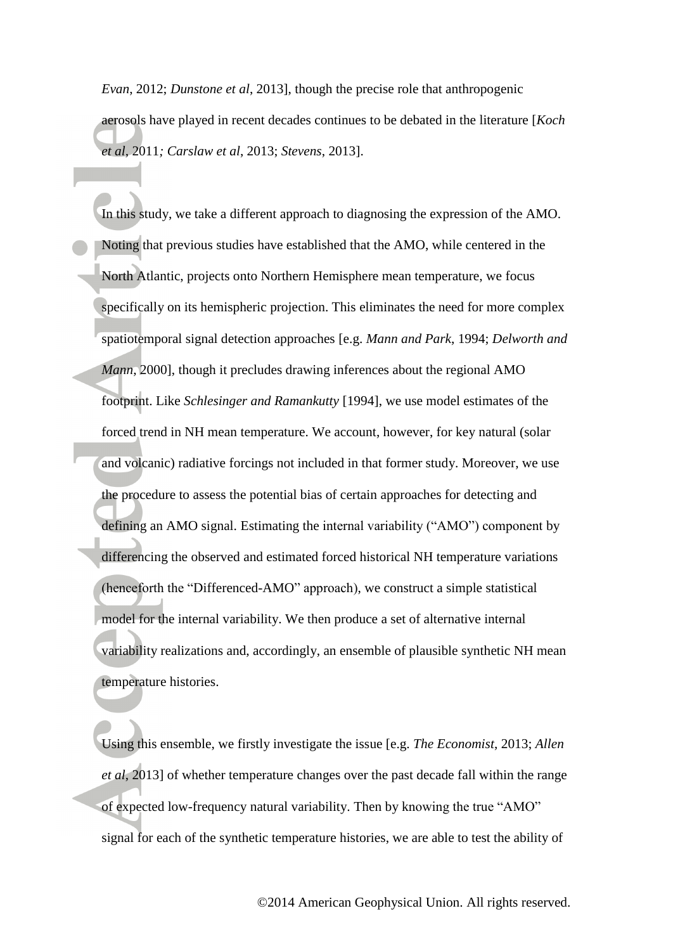*Evan*, 2012; *Dunstone et al*, 2013], though the precise role that anthropogenic aerosols have played in recent decades continues to be debated in the literature [*Koch et al,* 2011*; Carslaw et al*, 2013; *Stevens*, 2013].

In this study, we take a different approach to diagnosing the expression of the AMO. Noting that previous studies have established that the AMO, while centered in the North Atlantic, projects onto Northern Hemisphere mean temperature, we focus specifically on its hemispheric projection. This eliminates the need for more complex spatiotemporal signal detection approaches [e.g. *Mann and Park*, 1994; *Delworth and Mann*, 2000], though it precludes drawing inferences about the regional AMO footprint. Like *Schlesinger and Ramankutty* [1994], we use model estimates of the forced trend in NH mean temperature. We account, however, for key natural (solar and volcanic) radiative forcings not included in that former study. Moreover, we use the procedure to assess the potential bias of certain approaches for detecting and defining an AMO signal. Estimating the internal variability ("AMO") component by differencing the observed and estimated forced historical NH temperature variations (henceforth the "Differenced-AMO" approach), we construct a simple statistical model for the internal variability. We then produce a set of alternative internal variability realizations and, accordingly, an ensemble of plausible synthetic NH mean temperature histories.

Using this ensemble, we firstly investigate the issue [e.g. *The Economist*, 2013; *Allen et al*, 2013] of whether temperature changes over the past decade fall within the range of expected low-frequency natural variability. Then by knowing the true "AMO" signal for each of the synthetic temperature histories, we are able to test the ability of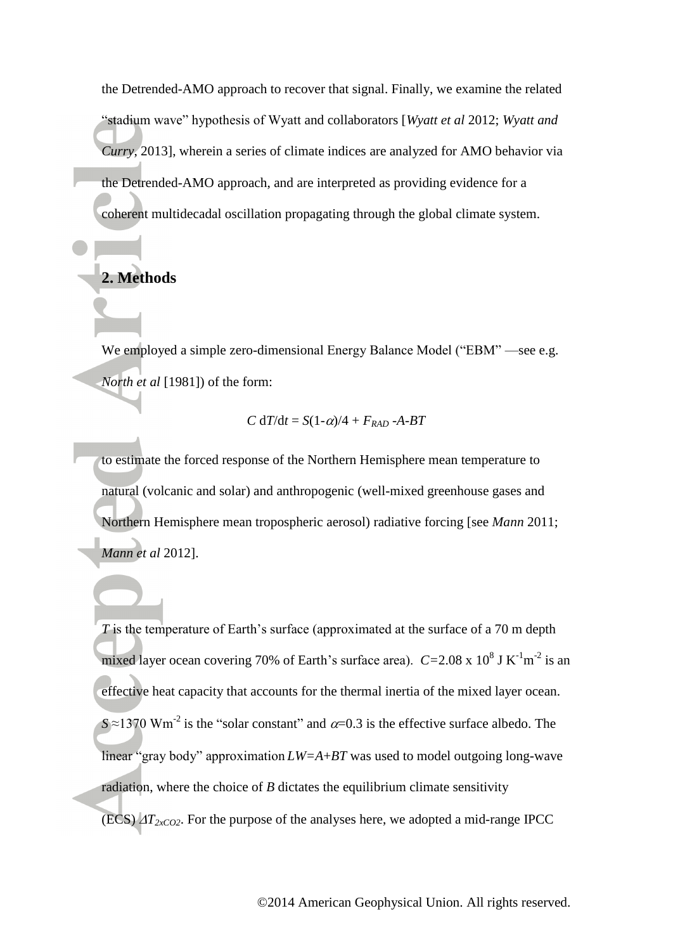the Detrended-AMO approach to recover that signal. Finally, we examine the related "stadium wave" hypothesis of Wyatt and collaborators [*Wyatt et al* 2012; *Wyatt and Curry*, 2013], wherein a series of climate indices are analyzed for AMO behavior via the Detrended-AMO approach, and are interpreted as providing evidence for a coherent multidecadal oscillation propagating through the global climate system.

# **2. Methods**

We employed a simple zero-dimensional Energy Balance Model ("EBM" —see e.g. *North et al* [1981]) of the form:

$$
C dT/dt = S(1-\alpha)/4 + F_{RAD} - A-BT
$$

to estimate the forced response of the Northern Hemisphere mean temperature to natural (volcanic and solar) and anthropogenic (well-mixed greenhouse gases and Northern Hemisphere mean tropospheric aerosol) radiative forcing [see *Mann* 2011; *Mann et al* 2012].

*T* is the temperature of Earth's surface (approximated at the surface of a 70 m depth mixed layer ocean covering 70% of Earth's surface area).  $C = 2.08 \times 10^8$  J K<sup>-1</sup>m<sup>-2</sup> is an effective heat capacity that accounts for the thermal inertia of the mixed layer ocean.  $S \approx 1370$  Wm<sup>-2</sup> is the "solar constant" and  $\alpha$ =0.3 is the effective surface albedo. The linear "gray body" approximation *LW=A*+*BT* was used to model outgoing long-wave radiation, where the choice of *B* dictates the equilibrium climate sensitivity (ECS)  $\Delta T_{2xCO2}$ . For the purpose of the analyses here, we adopted a mid-range IPCC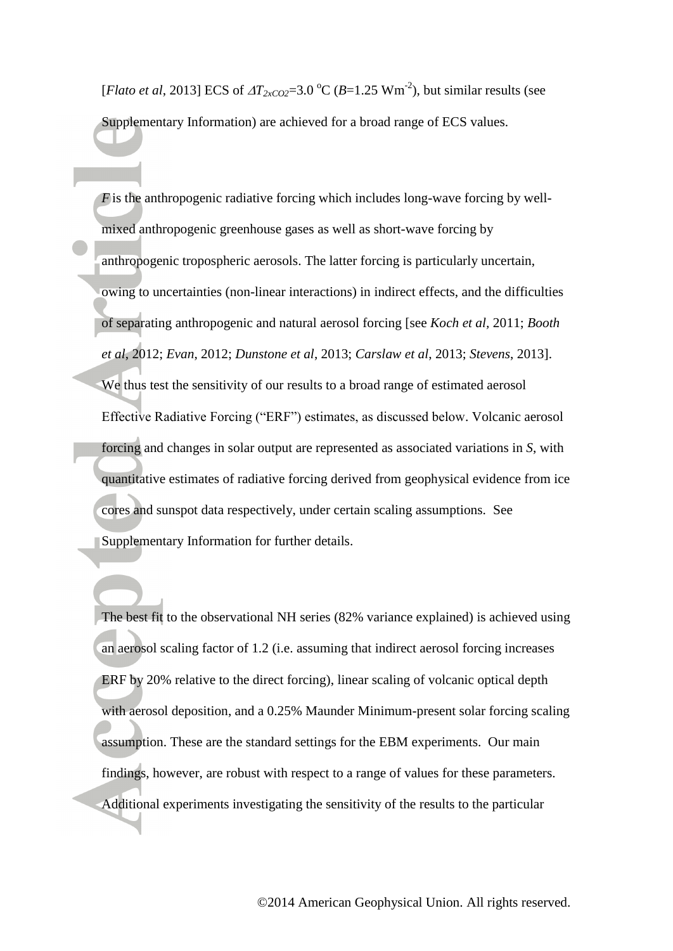[*Flato et al*, 2013] ECS of  $\Delta T_{2xCO2} = 3.0 \degree \text{C}$  (*B*=1.25 Wm<sup>-2</sup>), but similar results (see Supplementary Information) are achieved for a broad range of ECS values.

*F* is the anthropogenic radiative forcing which includes long-wave forcing by wellmixed anthropogenic greenhouse gases as well as short-wave forcing by anthropogenic tropospheric aerosols. The latter forcing is particularly uncertain, owing to uncertainties (non-linear interactions) in indirect effects, and the difficulties of separating anthropogenic and natural aerosol forcing [see *Koch et al,* 2011; *Booth et al*, 2012; *Evan*, 2012; *Dunstone et al*, 2013; *Carslaw et al*, 2013; *Stevens*, 2013]. We thus test the sensitivity of our results to a broad range of estimated aerosol Effective Radiative Forcing ("ERF") estimates, as discussed below. Volcanic aerosol forcing and changes in solar output are represented as associated variations in *S*, with quantitative estimates of radiative forcing derived from geophysical evidence from ice cores and sunspot data respectively, under certain scaling assumptions. See Supplementary Information for further details.

The best fit to the observational NH series (82% variance explained) is achieved using an aerosol scaling factor of 1.2 (i.e. assuming that indirect aerosol forcing increases ERF by 20% relative to the direct forcing), linear scaling of volcanic optical depth with aerosol deposition, and a 0.25% Maunder Minimum-present solar forcing scaling assumption. These are the standard settings for the EBM experiments. Our main findings, however, are robust with respect to a range of values for these parameters. Additional experiments investigating the sensitivity of the results to the particular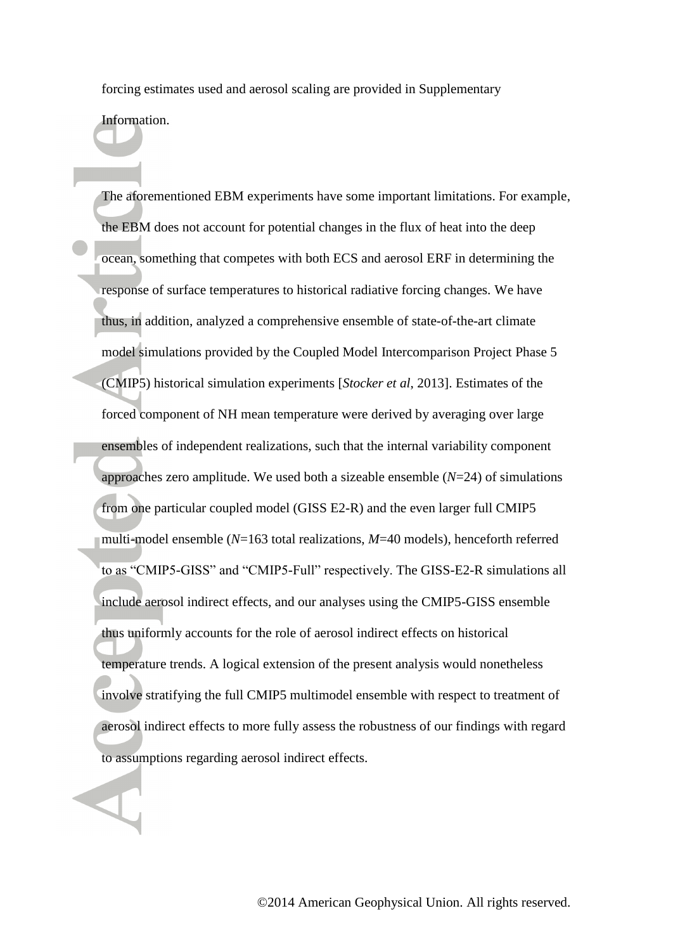forcing estimates used and aerosol scaling are provided in Supplementary

Information.

The aforementioned EBM experiments have some important limitations. For example, the EBM does not account for potential changes in the flux of heat into the deep ocean, something that competes with both ECS and aerosol ERF in determining the response of surface temperatures to historical radiative forcing changes. We have thus, in addition, analyzed a comprehensive ensemble of state-of-the-art climate model simulations provided by the Coupled Model Intercomparison Project Phase 5 (CMIP5) historical simulation experiments [*Stocker et al*, 2013]. Estimates of the forced component of NH mean temperature were derived by averaging over large ensembles of independent realizations, such that the internal variability component approaches zero amplitude. We used both a sizeable ensemble (*N*=24) of simulations from one particular coupled model (GISS E2-R) and the even larger full CMIP5 multi-model ensemble (*N*=163 total realizations, *M*=40 models), henceforth referred to as "CMIP5-GISS" and "CMIP5-Full" respectively. The GISS-E2-R simulations all include aerosol indirect effects, and our analyses using the CMIP5-GISS ensemble thus uniformly accounts for the role of aerosol indirect effects on historical temperature trends. A logical extension of the present analysis would nonetheless involve stratifying the full CMIP5 multimodel ensemble with respect to treatment of aerosol indirect effects to more fully assess the robustness of our findings with regard to assumptions regarding aerosol indirect effects.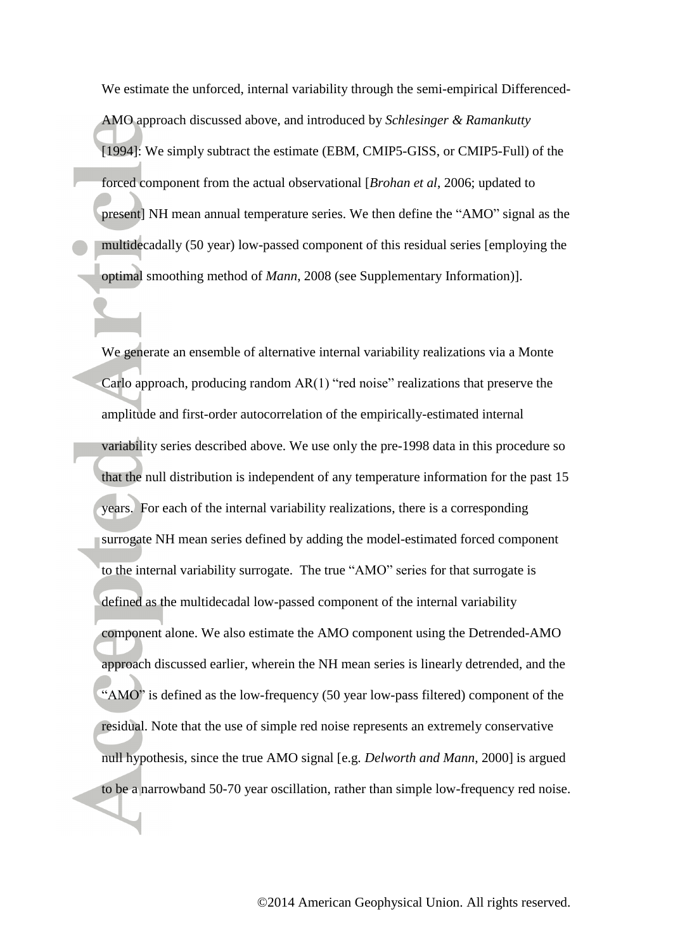We estimate the unforced, internal variability through the semi-empirical Differenced-AMO approach discussed above, and introduced by *Schlesinger & Ramankutty* [1994]: We simply subtract the estimate (EBM, CMIP5-GISS, or CMIP5-Full) of the forced component from the actual observational [*Brohan et al*, 2006; updated to present] NH mean annual temperature series. We then define the "AMO" signal as the multidecadally (50 year) low-passed component of this residual series [employing the optimal smoothing method of *Mann*, 2008 (see Supplementary Information)].

We generate an ensemble of alternative internal variability realizations via a Monte Carlo approach, producing random  $AR(1)$  "red noise" realizations that preserve the amplitude and first-order autocorrelation of the empirically-estimated internal variability series described above. We use only the pre-1998 data in this procedure so that the null distribution is independent of any temperature information for the past 15 years. For each of the internal variability realizations, there is a corresponding surrogate NH mean series defined by adding the model-estimated forced component to the internal variability surrogate. The true "AMO" series for that surrogate is defined as the multidecadal low-passed component of the internal variability component alone. We also estimate the AMO component using the Detrended-AMO approach discussed earlier, wherein the NH mean series is linearly detrended, and the "AMO" is defined as the low-frequency (50 year low-pass filtered) component of the residual. Note that the use of simple red noise represents an extremely conservative null hypothesis, since the true AMO signal [e.g. *Delworth and Mann*, 2000] is argued to be a narrowband 50-70 year oscillation, rather than simple low-frequency red noise.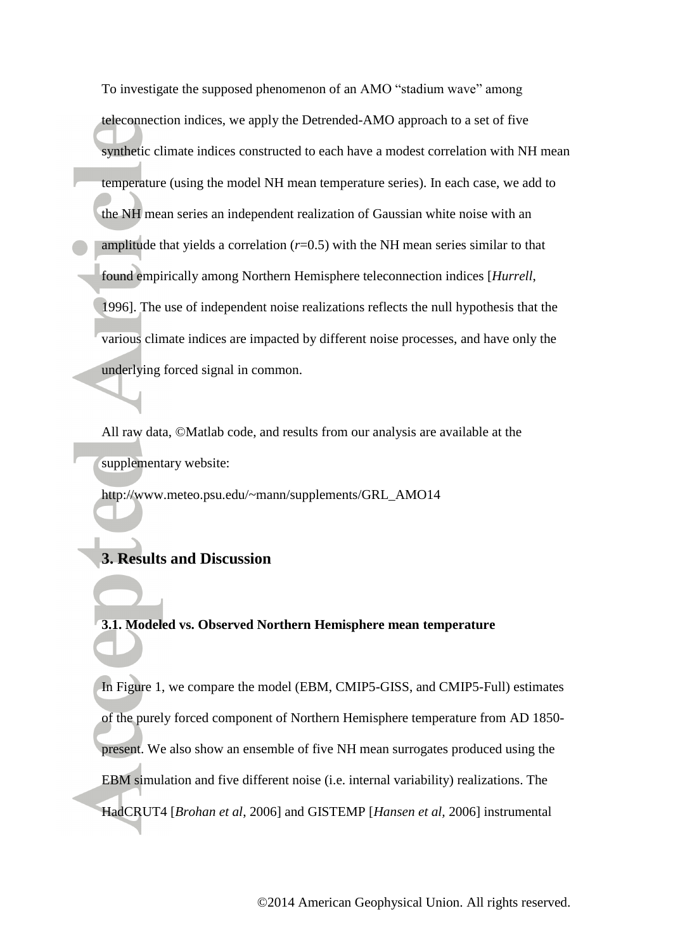To investigate the supposed phenomenon of an AMO "stadium wave" among teleconnection indices, we apply the Detrended-AMO approach to a set of five synthetic climate indices constructed to each have a modest correlation with NH mean temperature (using the model NH mean temperature series). In each case, we add to the NH mean series an independent realization of Gaussian white noise with an amplitude that yields a correlation  $(r=0.5)$  with the NH mean series similar to that found empirically among Northern Hemisphere teleconnection indices [*Hurrell*, 1996]. The use of independent noise realizations reflects the null hypothesis that the various climate indices are impacted by different noise processes, and have only the underlying forced signal in common.

All raw data, ©Matlab code, and results from our analysis are available at the supplementary website:

http://www.meteo.psu.edu/~mann/supplements/GRL\_AMO14

# **3. Results and Discussion**

**3.1. Modeled vs. Observed Northern Hemisphere mean temperature** 

In Figure 1, we compare the model (EBM, CMIP5-GISS, and CMIP5-Full) estimates of the purely forced component of Northern Hemisphere temperature from AD 1850 present. We also show an ensemble of five NH mean surrogates produced using the EBM simulation and five different noise (i.e. internal variability) realizations. The HadCRUT4 [*Brohan et al*, 2006] and GISTEMP [*Hansen et al,* 2006] instrumental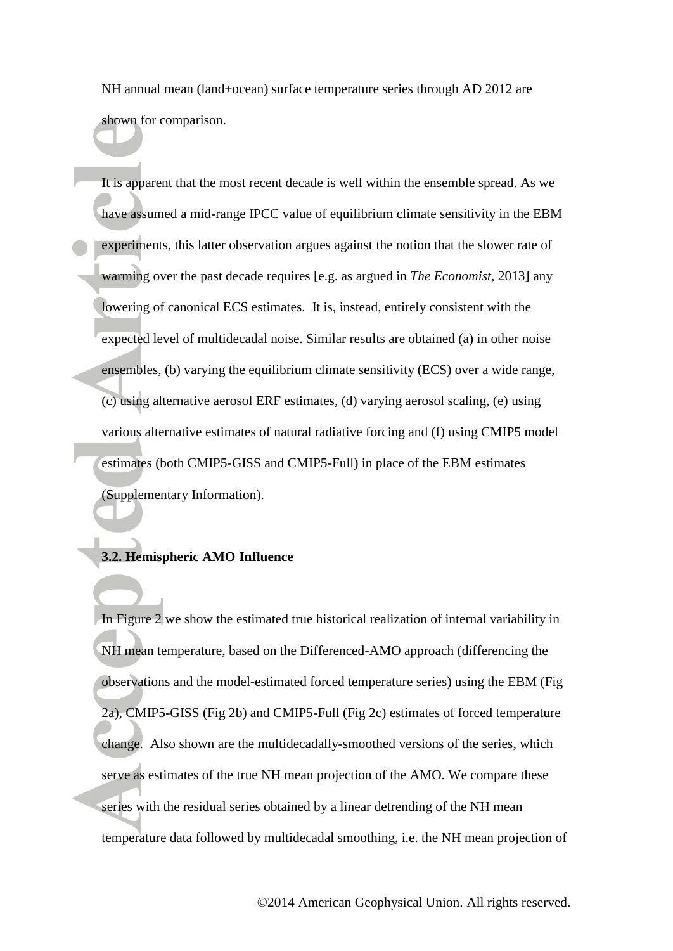NH annual mean (land+ocean) surface temperature series through AD 2012 are shown for comparison.

It is apparent that the most recent decade is well within the ensemble spread. As we have assumed a mid-range IPCC value of equilibrium climate sensitivity in the EBM experiments, this latter observation argues against the notion that the slower rate of warming over the past decade requires [e.g. as argued in *The Economist*, 2013] any lowering of canonical ECS estimates. It is, instead, entirely consistent with the expected level of multidecadal noise. Similar results are obtained (a) in other noise ensembles, (b) varying the equilibrium climate sensitivity (ECS) over a wide range, (c) using alternative aerosol ERF estimates, (d) varying aerosol scaling, (e) using various alternative estimates of natural radiative forcing and (f) using CMIP5 model estimates (both CMIP5-GISS and CMIP5-Full) in place of the EBM estimates (Supplementary Information).

### **3.2. Hemispheric AMO Influence**

In Figure 2 we show the estimated true historical realization of internal variability in NH mean temperature, based on the Differenced-AMO approach (differencing the observations and the model-estimated forced temperature series) using the EBM (Fig 2a), CMIP5-GISS (Fig 2b) and CMIP5-Full (Fig 2c) estimates of forced temperature change. Also shown are the multidecadally-smoothed versions of the series, which serve as estimates of the true NH mean projection of the AMO. We compare these series with the residual series obtained by a linear detrending of the NH mean temperature data followed by multidecadal smoothing, i.e. the NH mean projection of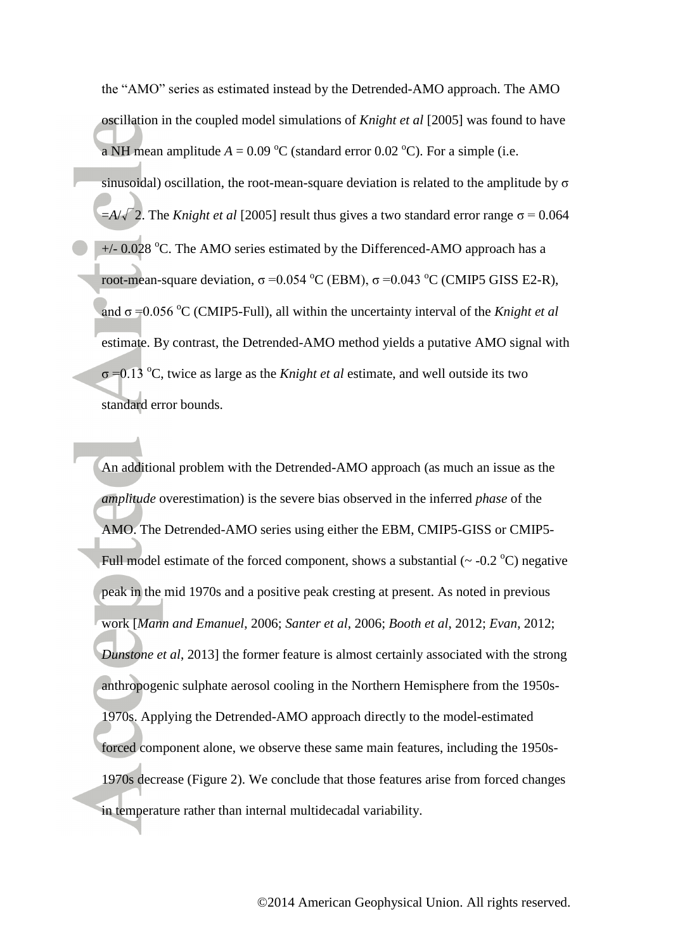the "AMO" series as estimated instead by the Detrended-AMO approach. The AMO oscillation in the coupled model simulations of *Knight et al* [2005] was found to have a NH mean amplitude  $A = 0.09 \degree C$  (standard error 0.02  $\degree C$ ). For a simple (i.e. sinusoidal) oscillation, the root-mean-square deviation is related to the amplitude by  $\sigma$  $=$ *A*/ $\sqrt{2}$ . The *Knight et al* [2005] result thus gives a two standard error range  $\sigma$  = 0.064  $+/- 0.028$  °C. The AMO series estimated by the Differenced-AMO approach has a root-mean-square deviation,  $\sigma = 0.054 \degree C$  (EBM),  $\sigma = 0.043 \degree C$  (CMIP5 GISS E2-R), and  $\sigma$  =0.056 °C (CMIP5-Full), all within the uncertainty interval of the *Knight et al* estimate. By contrast, the Detrended-AMO method yields a putative AMO signal with σ =0.13 <sup>o</sup>C, twice as large as the *Knight et al* estimate, and well outside its two standard error bounds.

An additional problem with the Detrended-AMO approach (as much an issue as the *amplitude* overestimation) is the severe bias observed in the inferred *phase* of the AMO. The Detrended-AMO series using either the EBM, CMIP5-GISS or CMIP5- Full model estimate of the forced component, shows a substantial  $({\sim}$  -0.2 <sup>o</sup>C) negative peak in the mid 1970s and a positive peak cresting at present. As noted in previous work [*Mann and Emanuel*, 2006; *Santer et al*, 2006; *Booth et al*, 2012; *Evan*, 2012; *Dunstone et al*, 2013] the former feature is almost certainly associated with the strong anthropogenic sulphate aerosol cooling in the Northern Hemisphere from the 1950s-1970s. Applying the Detrended-AMO approach directly to the model-estimated forced component alone, we observe these same main features, including the 1950s-1970s decrease (Figure 2). We conclude that those features arise from forced changes in temperature rather than internal multidecadal variability.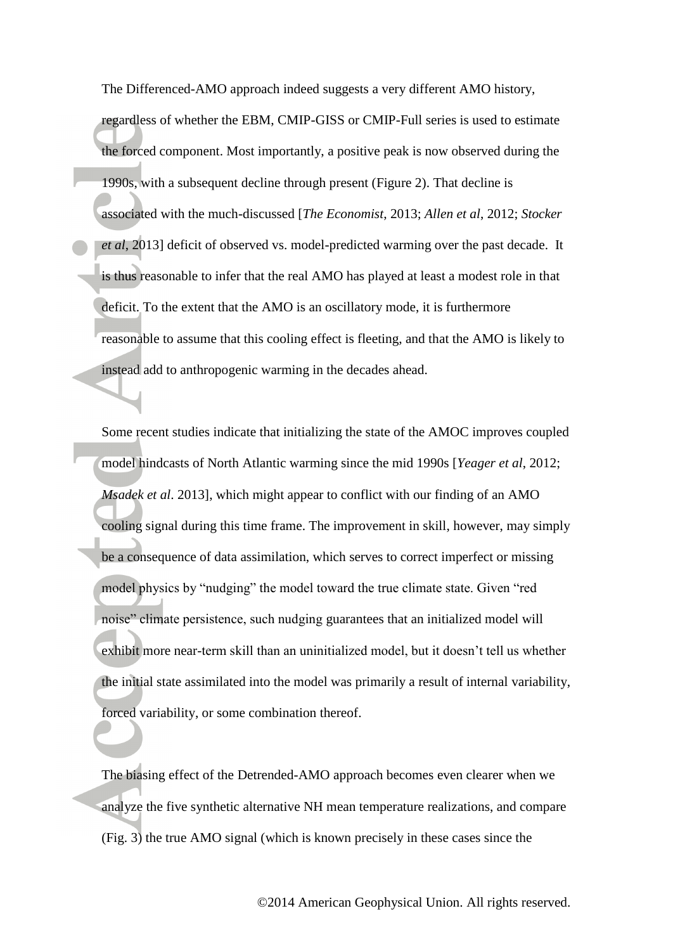The Differenced-AMO approach indeed suggests a very different AMO history,

regardless of whether the EBM, CMIP-GISS or CMIP-Full series is used to estimate the forced component. Most importantly, a positive peak is now observed during the 1990s, with a subsequent decline through present (Figure 2). That decline is associated with the much-discussed [*The Economist*, 2013; *Allen et al*, 2012; *Stocker et al*, 2013] deficit of observed vs. model-predicted warming over the past decade. It is thus reasonable to infer that the real AMO has played at least a modest role in that deficit. To the extent that the AMO is an oscillatory mode, it is furthermore reasonable to assume that this cooling effect is fleeting, and that the AMO is likely to instead add to anthropogenic warming in the decades ahead.

Some recent studies indicate that initializing the state of the AMOC improves coupled model hindcasts of North Atlantic warming since the mid 1990s [*Yeager et al*, 2012; *Msadek et al*. 2013], which might appear to conflict with our finding of an AMO cooling signal during this time frame. The improvement in skill, however, may simply be a consequence of data assimilation, which serves to correct imperfect or missing model physics by "nudging" the model toward the true climate state. Given "red noise" climate persistence, such nudging guarantees that an initialized model will exhibit more near-term skill than an uninitialized model, but it doesn't tell us whether the initial state assimilated into the model was primarily a result of internal variability, forced variability, or some combination thereof.

The biasing effect of the Detrended-AMO approach becomes even clearer when we analyze the five synthetic alternative NH mean temperature realizations, and compare (Fig. 3) the true AMO signal (which is known precisely in these cases since the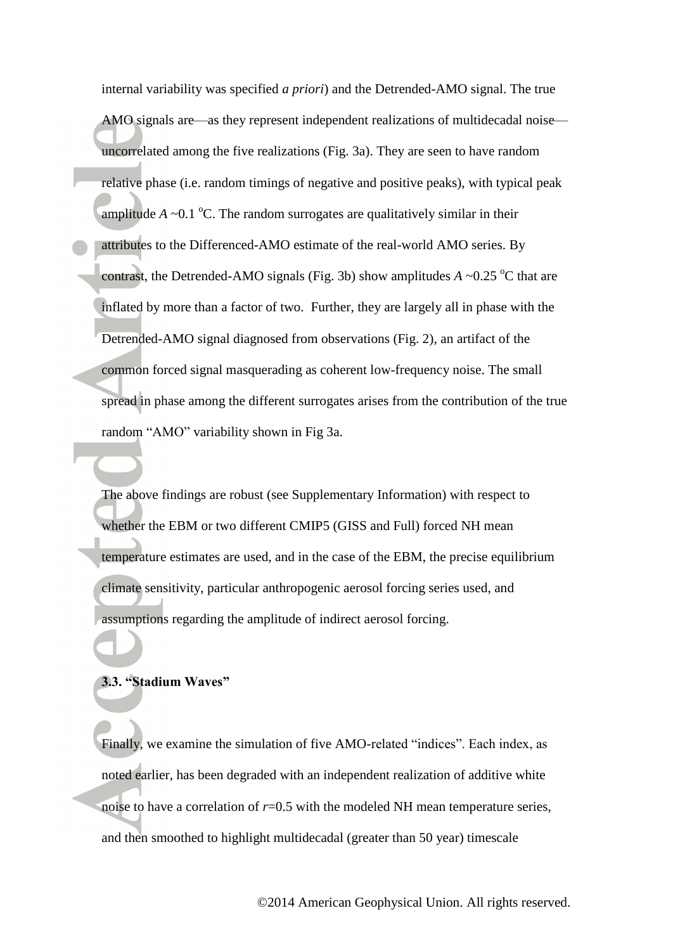internal variability was specified *a priori*) and the Detrended-AMO signal. The true AMO signals are—as they represent independent realizations of multidecadal noise uncorrelated among the five realizations (Fig. 3a). They are seen to have random relative phase (i.e. random timings of negative and positive peaks), with typical peak amplitude  $A \sim 0.1 \degree C$ . The random surrogates are qualitatively similar in their attributes to the Differenced-AMO estimate of the real-world AMO series. By contrast, the Detrended-AMO signals (Fig. 3b) show amplitudes  $A \sim 0.25 \degree C$  that are inflated by more than a factor of two. Further, they are largely all in phase with the Detrended-AMO signal diagnosed from observations (Fig. 2), an artifact of the common forced signal masquerading as coherent low-frequency noise. The small spread in phase among the different surrogates arises from the contribution of the true random "AMO" variability shown in Fig 3a.

The above findings are robust (see Supplementary Information) with respect to whether the EBM or two different CMIP5 (GISS and Full) forced NH mean temperature estimates are used, and in the case of the EBM, the precise equilibrium climate sensitivity, particular anthropogenic aerosol forcing series used, and assumptions regarding the amplitude of indirect aerosol forcing.

#### **3.3. "Stadium Waves"**

Finally, we examine the simulation of five AMO-related "indices". Each index, as noted earlier, has been degraded with an independent realization of additive white noise to have a correlation of  $r=0.5$  with the modeled NH mean temperature series, and then smoothed to highlight multidecadal (greater than 50 year) timescale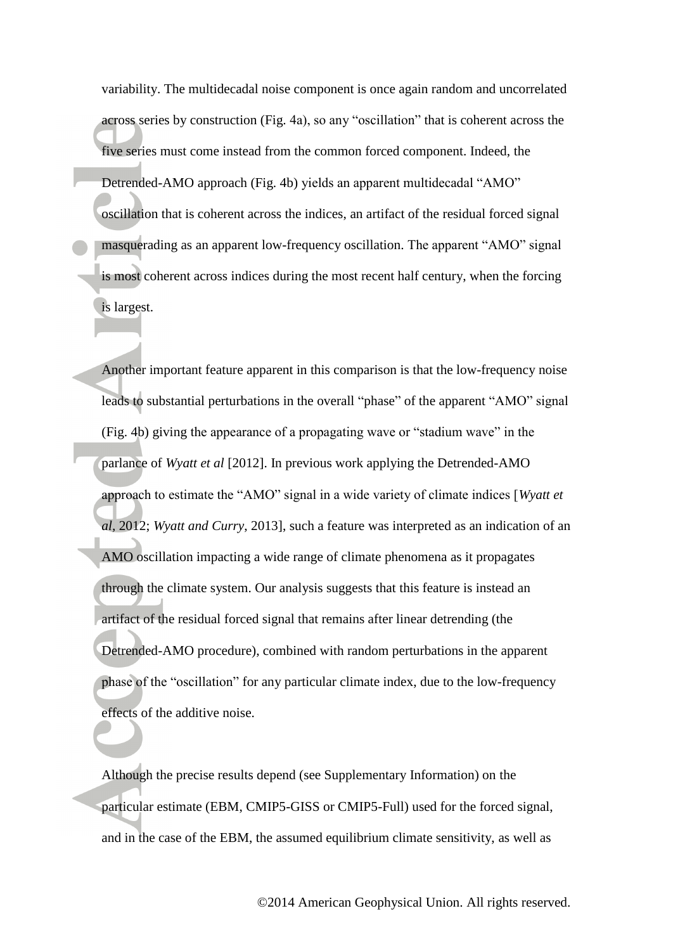variability. The multidecadal noise component is once again random and uncorrelated across series by construction (Fig. 4a), so any "oscillation" that is coherent across the five series must come instead from the common forced component. Indeed, the Detrended-AMO approach (Fig. 4b) yields an apparent multidecadal "AMO" oscillation that is coherent across the indices, an artifact of the residual forced signal masquerading as an apparent low-frequency oscillation. The apparent "AMO" signal is most coherent across indices during the most recent half century, when the forcing is largest.

Another important feature apparent in this comparison is that the low-frequency noise leads to substantial perturbations in the overall "phase" of the apparent "AMO" signal (Fig. 4b) giving the appearance of a propagating wave or "stadium wave" in the parlance of *Wyatt et al* [2012]. In previous work applying the Detrended-AMO approach to estimate the "AMO" signal in a wide variety of climate indices [*Wyatt et al,* 2012; *Wyatt and Curry*, 2013], such a feature was interpreted as an indication of an AMO oscillation impacting a wide range of climate phenomena as it propagates through the climate system. Our analysis suggests that this feature is instead an artifact of the residual forced signal that remains after linear detrending (the Detrended-AMO procedure), combined with random perturbations in the apparent phase of the "oscillation" for any particular climate index, due to the low-frequency effects of the additive noise.

Although the precise results depend (see Supplementary Information) on the particular estimate (EBM, CMIP5-GISS or CMIP5-Full) used for the forced signal, and in the case of the EBM, the assumed equilibrium climate sensitivity, as well as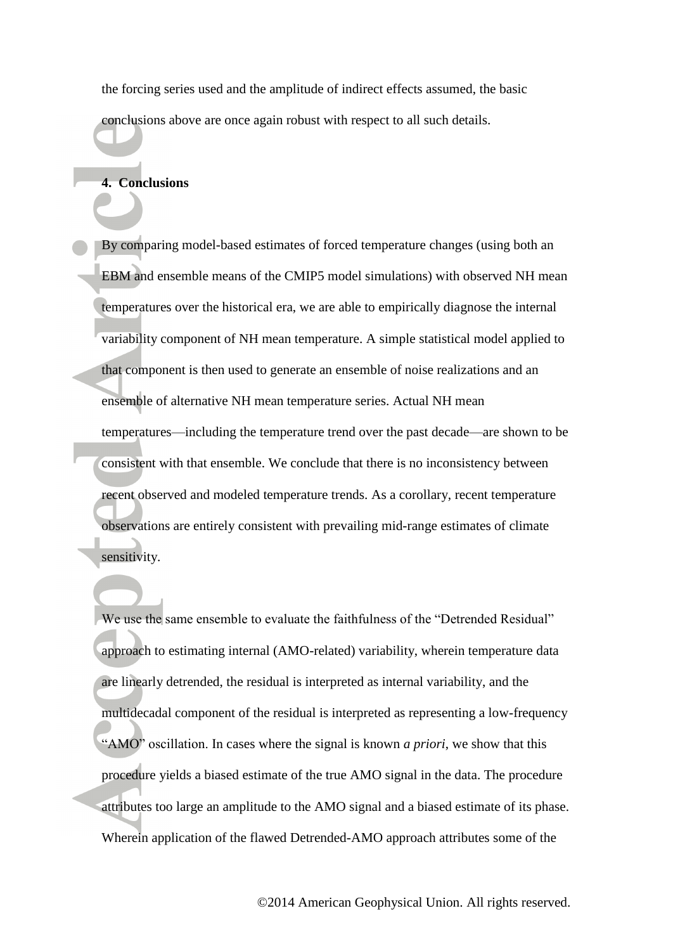the forcing series used and the amplitude of indirect effects assumed, the basic conclusions above are once again robust with respect to all such details.

#### **4. Conclusions**

By comparing model-based estimates of forced temperature changes (using both an EBM and ensemble means of the CMIP5 model simulations) with observed NH mean temperatures over the historical era, we are able to empirically diagnose the internal variability component of NH mean temperature. A simple statistical model applied to that component is then used to generate an ensemble of noise realizations and an ensemble of alternative NH mean temperature series. Actual NH mean temperatures—including the temperature trend over the past decade—are shown to be consistent with that ensemble. We conclude that there is no inconsistency between recent observed and modeled temperature trends. As a corollary, recent temperature observations are entirely consistent with prevailing mid-range estimates of climate sensitivity.

We use the same ensemble to evaluate the faithfulness of the "Detrended Residual" approach to estimating internal (AMO-related) variability, wherein temperature data are linearly detrended, the residual is interpreted as internal variability, and the multidecadal component of the residual is interpreted as representing a low-frequency "AMO" oscillation. In cases where the signal is known *a priori*, we show that this procedure yields a biased estimate of the true AMO signal in the data. The procedure attributes too large an amplitude to the AMO signal and a biased estimate of its phase. Wherein application of the flawed Detrended-AMO approach attributes some of the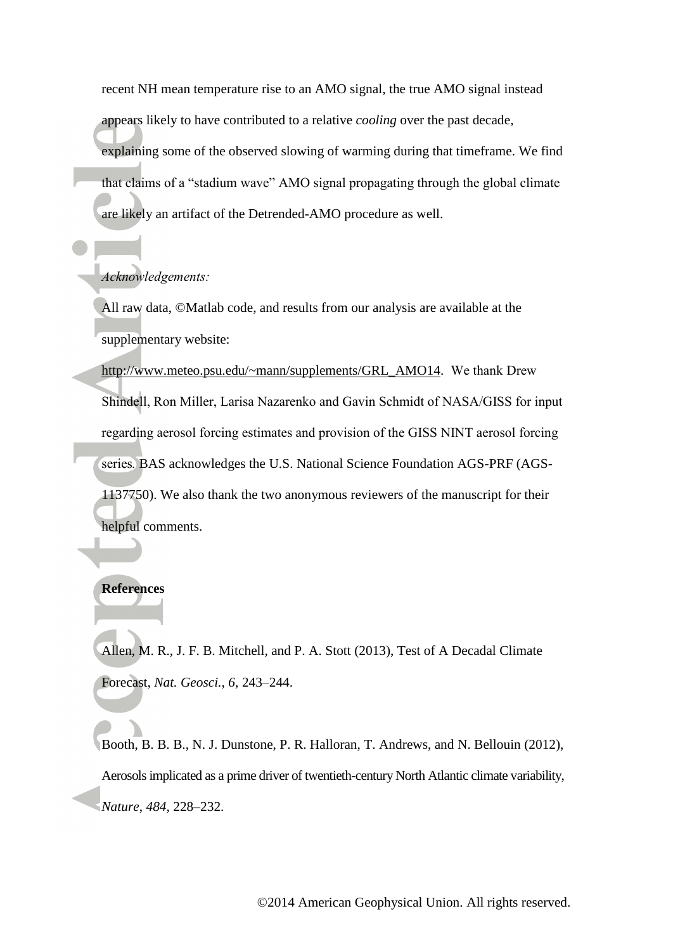recent NH mean temperature rise to an AMO signal, the true AMO signal instead appears likely to have contributed to a relative *cooling* over the past decade, explaining some of the observed slowing of warming during that timeframe. We find that claims of a "stadium wave" AMO signal propagating through the global climate are likely an artifact of the Detrended-AMO procedure as well.

#### *Acknowledgements:*

All raw data, ©Matlab code, and results from our analysis are available at the supplementary website:

[http://www.meteo.psu.edu/~mann/supplements/GRL\\_AMO14.](http://www.meteo.psu.edu/~mann/supplements/GRL_AMO14) We thank Drew Shindell, Ron Miller, Larisa Nazarenko and Gavin Schmidt of NASA/GISS for input regarding aerosol forcing estimates and provision of the GISS NINT aerosol forcing series*.* BAS acknowledges the U.S. National Science Foundation AGS-PRF (AGS-1137750). We also thank the two anonymous reviewers of the manuscript for their helpful comments.

## **References**

Allen, M. R., J. F. B. Mitchell, and P. A. Stott (2013), Test of A Decadal Climate Forecast, *Nat. Geosci.*, *6*, 243–244.

Booth, B. B. B., N. J. Dunstone, P. R. Halloran, T. Andrews, and N. Bellouin (2012), Aerosols implicated as a prime driver of twentieth-century North Atlantic climate variability, *Nature*, *484*, 228–232.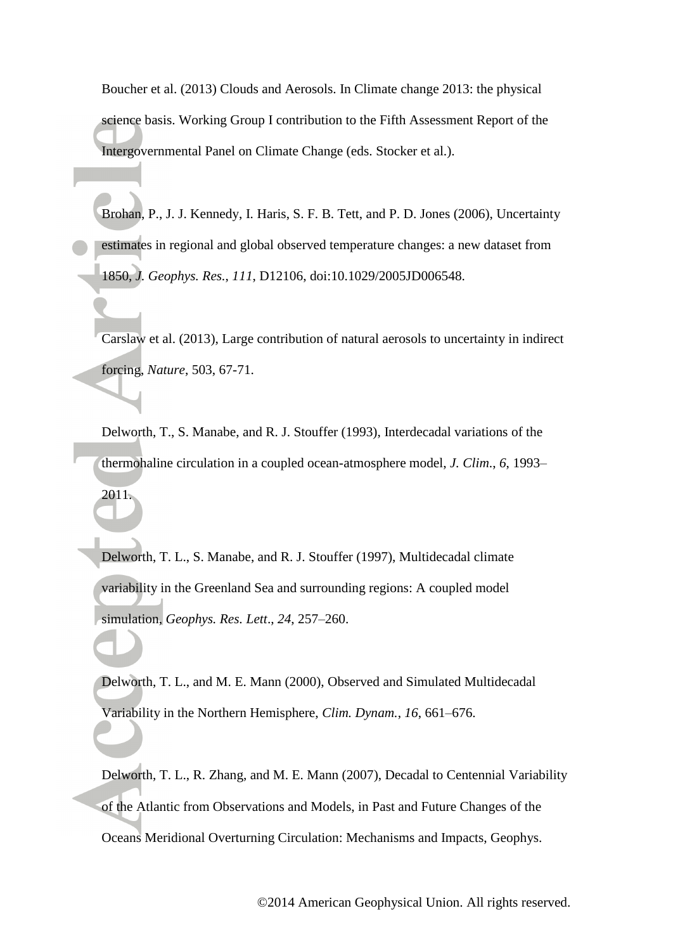Boucher et al. (2013) Clouds and Aerosols. In Climate change 2013: the physical science basis. Working Group I contribution to the Fifth Assessment Report of the Intergovernmental Panel on Climate Change (eds. Stocker et al.).

Brohan, P., J. J. Kennedy, I. Haris, S. F. B. Tett, and P. D. Jones (2006), Uncertainty estimates in regional and global observed temperature changes: a new dataset from 1850, *J. Geophys. Res.*, *111*, D12106, doi:10.1029/2005JD006548.

Carslaw et al. (2013), Large contribution of natural aerosols to uncertainty in indirect forcing, *Nature*, 503, 67-71.

Delworth, T., S. Manabe, and R. J. Stouffer (1993), Interdecadal variations of the thermohaline circulation in a coupled ocean-atmosphere model, *J. Clim*., *6*, 1993–

2011.

Delworth, T. L., S. Manabe, and R. J. Stouffer (1997), Multidecadal climate variability in the Greenland Sea and surrounding regions: A coupled model simulation, *Geophys. Res. Lett*., *24*, 257–260.

Delworth, T. L., and M. E. Mann (2000), Observed and Simulated Multidecadal Variability in the Northern Hemisphere, *Clim. Dynam.*, *16*, 661–676.

Delworth, T. L., R. Zhang, and M. E. Mann (2007), Decadal to Centennial Variability of the Atlantic from Observations and Models, in Past and Future Changes of the Oceans Meridional Overturning Circulation: Mechanisms and Impacts, Geophys.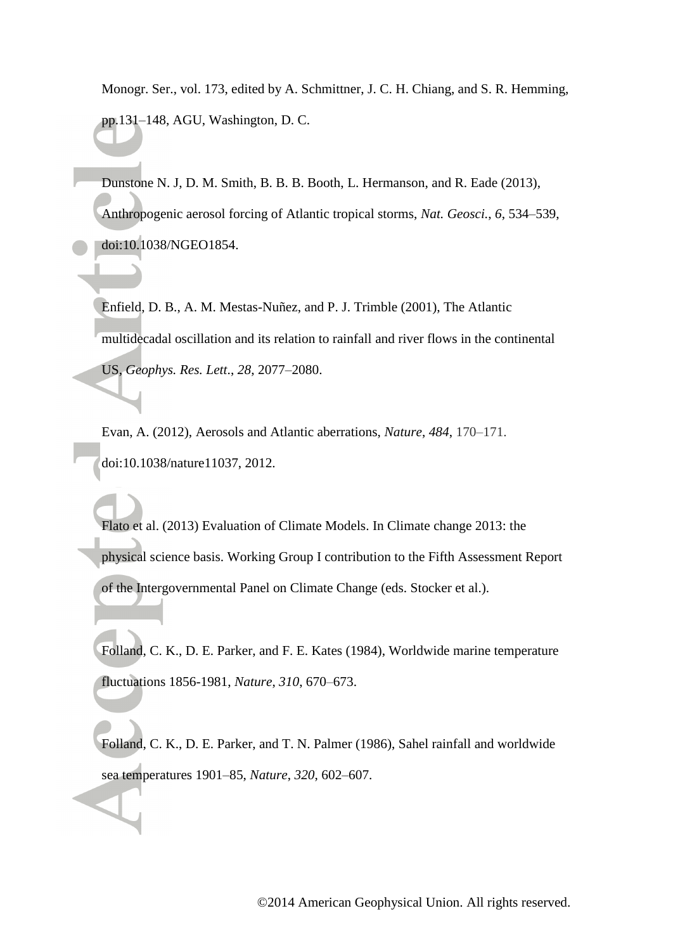Monogr. Ser., vol. 173, edited by A. Schmittner, J. C. H. Chiang, and S. R. Hemming, pp.131–148, AGU, Washington, D. C.

Dunstone N. J, D. M. Smith, B. B. B. Booth, L. Hermanson, and R. Eade (2013), Anthropogenic aerosol forcing of Atlantic tropical storms, *Nat. Geosci.*, *6*, 534–539, doi:10.1038/NGEO1854.

Enfield, D. B., A. M. Mestas-Nuñez, and P. J. Trimble (2001), The Atlantic multidecadal oscillation and its relation to rainfall and river flows in the continental US, *Geophys. Res. Lett*., *28*, 2077–2080.

Evan, A. (2012), Aerosols and Atlantic aberrations, *Nature*, *484*, 170–171. doi:10.1038/nature11037, 2012.

Flato et al. (2013) Evaluation of Climate Models. In Climate change 2013: the physical science basis. Working Group I contribution to the Fifth Assessment Report of the Intergovernmental Panel on Climate Change (eds. Stocker et al.).

Folland, C. K., D. E. Parker, and F. E. Kates (1984), Worldwide marine temperature fluctuations 1856-1981, *Nature*, *310*, 670–673.

Folland, C. K., D. E. Parker, and T. N. Palmer (1986), Sahel rainfall and worldwide sea temperatures 1901–85, *Nature*, *320*, 602–607.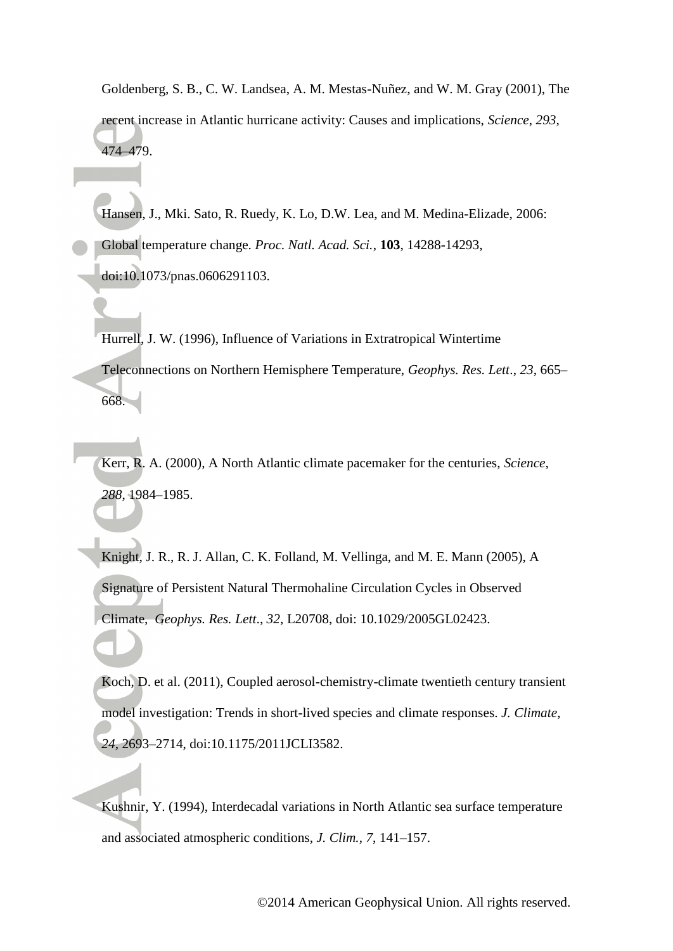Goldenberg, S. B., C. W. Landsea, A. M. Mestas-Nuñez, and W. M. Gray (2001), The recent increase in Atlantic hurricane activity: Causes and implications, *Science*, *293*, 474–479.

Hansen, J., Mki. Sato, R. Ruedy, K. Lo, D.W. Lea, and M. Medina-Elizade, 2006: Global temperature change. *Proc. Natl. Acad. Sci.*, **103**, 14288-14293, doi:10.1073/pnas.0606291103.

Hurrell, J. W. (1996), Influence of Variations in Extratropical Wintertime Teleconnections on Northern Hemisphere Temperature, *Geophys. Res. Lett*., *23*, 665– 668.

Kerr, R. A. (2000), A North Atlantic climate pacemaker for the centuries, *Science*, *288*, 1984–1985.

Knight, J. R., R. J. Allan, C. K. Folland, M. Vellinga, and M. E. Mann (2005), A Signature of Persistent Natural Thermohaline Circulation Cycles in Observed Climate, *Geophys. Res. Lett*., *32*, L20708, doi: 10.1029/2005GL02423.

Koch, D. et al. (2011), Coupled aerosol-chemistry-climate twentieth century transient model investigation: Trends in short-lived species and climate responses. *J. Climate*, *24*, 2693–2714, doi:10.1175/2011JCLI3582.

Kushnir, Y. (1994), Interdecadal variations in North Atlantic sea surface temperature and associated atmospheric conditions, *J. Clim.*, *7*, 141–157.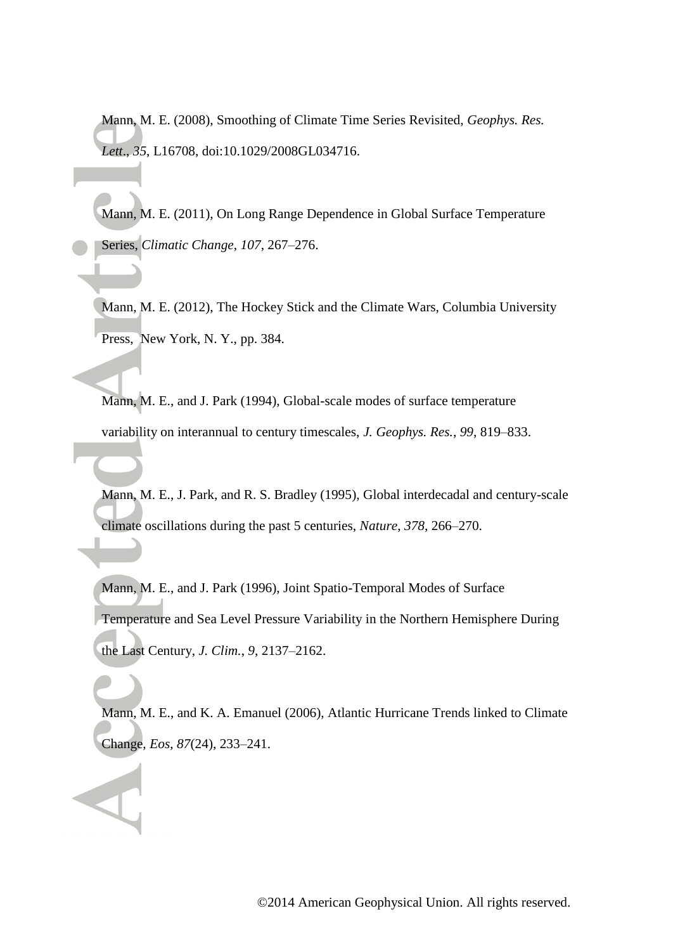Mann, M. E. (2008), Smoothing of Climate Time Series Revisited, *Geophys. Res. Lett*., *35*, L16708, doi:10.1029/2008GL034716.

Mann, M. E. (2011), On Long Range Dependence in Global Surface Temperature Series, *Climatic Change*, *107*, 267–276.

Mann, M. E. (2012), The Hockey Stick and the Climate Wars, Columbia University Press, New York, N. Y., pp. 384.

Mann, M. E., and J. Park (1994), Global-scale modes of surface temperature variability on interannual to century timescales, *J. Geophys. Res.*, *99*, 819–833.

Mann, M. E., J. Park, and R. S. Bradley (1995), Global interdecadal and century-scale climate oscillations during the past 5 centuries, *Nature*, *378*, 266–270.

Mann, M. E., and J. Park (1996), Joint Spatio-Temporal Modes of Surface Temperature and Sea Level Pressure Variability in the Northern Hemisphere During the Last Century, *J. Clim.*, *9*, 2137–2162.

Mann, M. E., and K. A. Emanuel (2006), Atlantic Hurricane Trends linked to Climate Change, *Eos*, *87*(24), 233–241.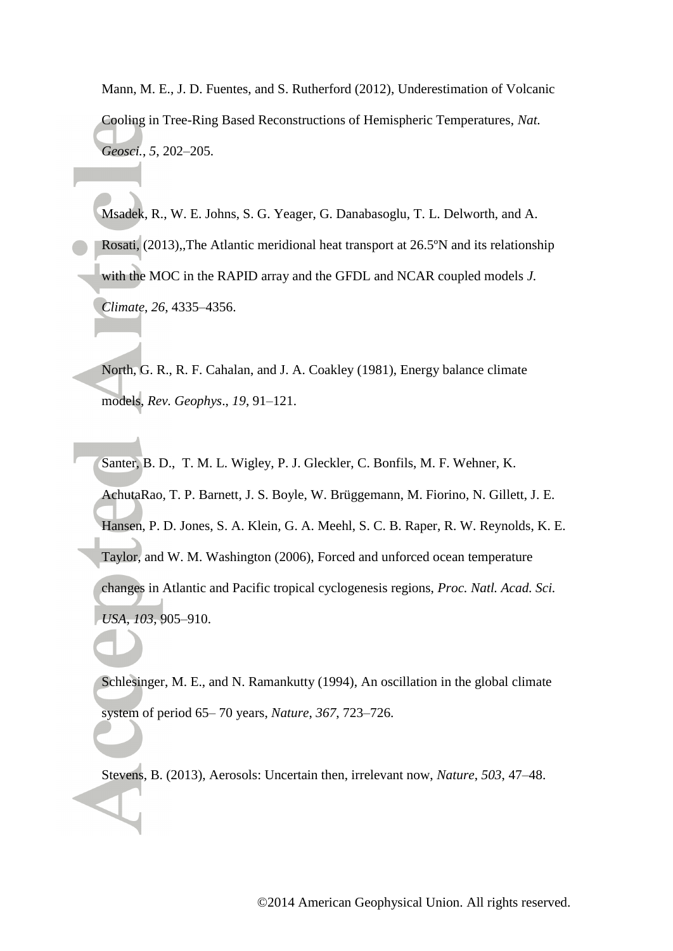Mann, M. E., J. D. Fuentes, and S. Rutherford (2012), Underestimation of Volcanic Cooling in Tree-Ring Based Reconstructions of Hemispheric Temperatures, *Nat. Geosci.*, *5*, 202–205.

Msadek, R., W. E. Johns, S. G. Yeager, G. Danabasoglu, T. L. Delworth, and A. Rosati*,* (2013),,The Atlantic meridional heat transport at 26.5ºN and its relationship with the MOC in the RAPID array and the GFDL and NCAR coupled models *J. Climate*, *26*, 4335–4356.

North, G. R., R. F. Cahalan, and J. A. Coakley (1981), Energy balance climate models, *Rev. Geophys*., *19*, 91–121.

Santer, B. D., T. M. L. Wigley, P. J. Gleckler, C. Bonfils, M. F. Wehner, K. AchutaRao, T. P. Barnett, J. S. Boyle, W. Brüggemann, M. Fiorino, N. Gillett, J. E. Hansen, P. D. Jones, S. A. Klein, G. A. Meehl, S. C. B. Raper, R. W. Reynolds, K. E. Taylor, and W. M. Washington (2006), Forced and unforced ocean temperature changes in Atlantic and Pacific tropical cyclogenesis regions, *Proc. Natl. Acad. Sci. USA*, *103*, 905–910.

Schlesinger, M. E., and N. Ramankutty (1994), An oscillation in the global climate system of period 65– 70 years, *Nature*, *367*, 723–726.

Stevens, B. (2013), Aerosols: Uncertain then, irrelevant now, *Nature*, *503*, 47–48.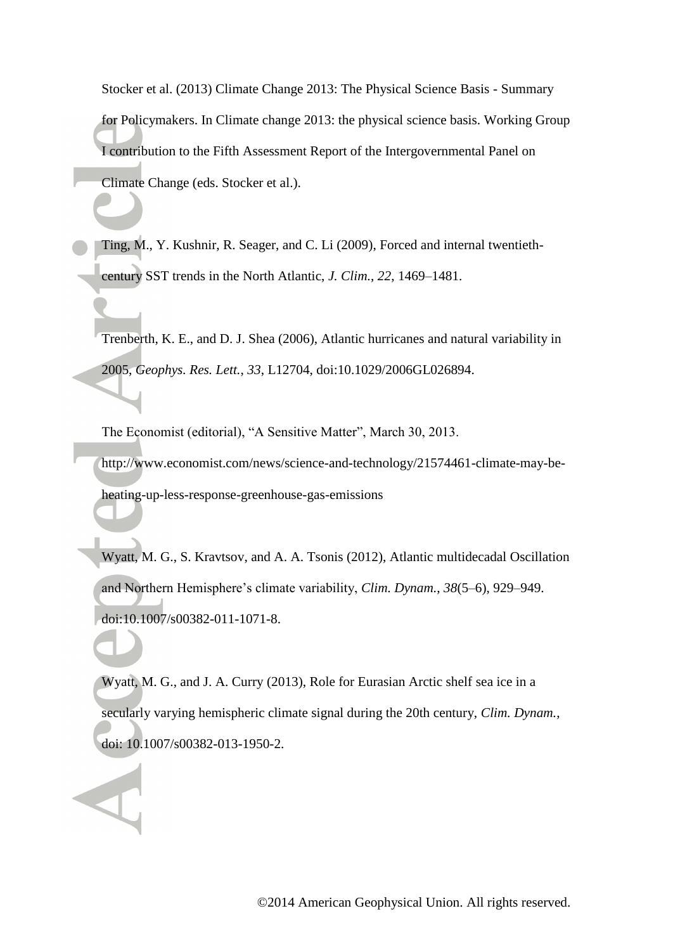Stocker et al. (2013) Climate Change 2013: The Physical Science Basis - Summary for Policymakers. In Climate change 2013: the physical science basis. Working Group I contribution to the Fifth Assessment Report of the Intergovernmental Panel on Climate Change (eds. Stocker et al.).

Ting, M., Y. Kushnir, R. Seager, and C. Li (2009), Forced and internal twentiethcentury SST trends in the North Atlantic, *J. Clim.*, *22*, 1469–1481.

Trenberth, K. E., and D. J. Shea (2006), Atlantic hurricanes and natural variability in 2005, *Geophys. Res. Lett.*, *33*, L12704, doi:10.1029/2006GL026894.

The Economist (editorial), "A Sensitive Matter", March 30, 2013.

http://www.economist.com/news/science-and-technology/21574461-climate-may-beheating-up-less-response-greenhouse-gas-emissions

Wyatt, M. G., S. Kravtsov, and A. A. Tsonis (2012), Atlantic multidecadal Oscillation and Northern Hemisphere's climate variability, *Clim. Dynam.*, *38*(5–6), 929–949. doi:10.1007/s00382-011-1071-8.

Wyatt, M. G., and J. A. Curry (2013), Role for Eurasian Arctic shelf sea ice in a secularly varying hemispheric climate signal during the 20th century, *Clim. Dynam.*, doi: 10.1007/s00382-013-1950-2.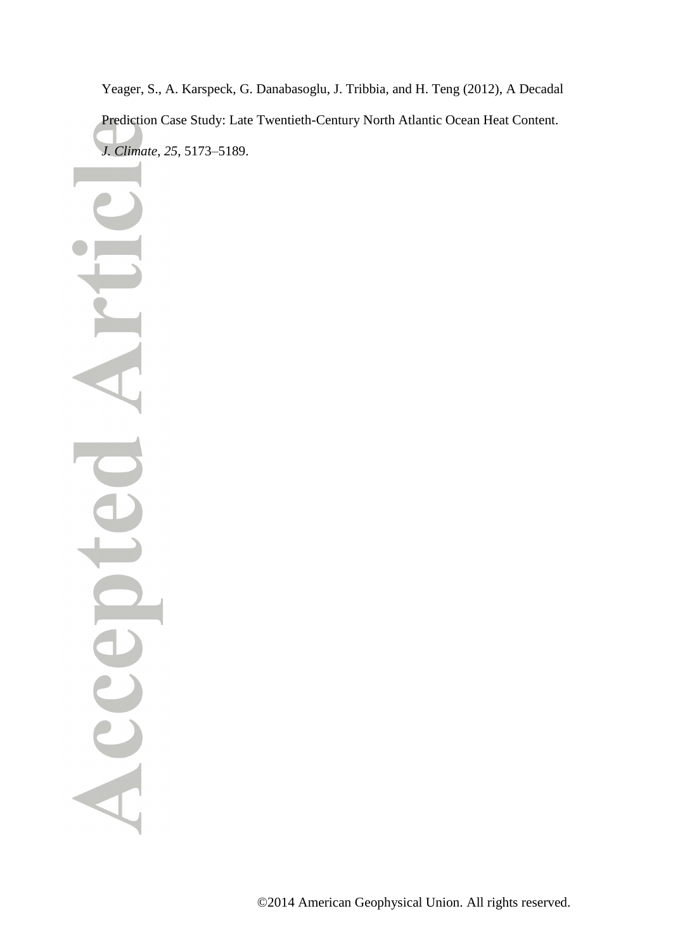Yeager, S., A. Karspeck, G. Danabasoglu, J. Tribbia, and H. Teng (2012), A Decadal Prediction Case Study: Late Twentieth-Century North Atlantic Ocean Heat Content. *J. Climate*, *25*, 5173–5189.

Acc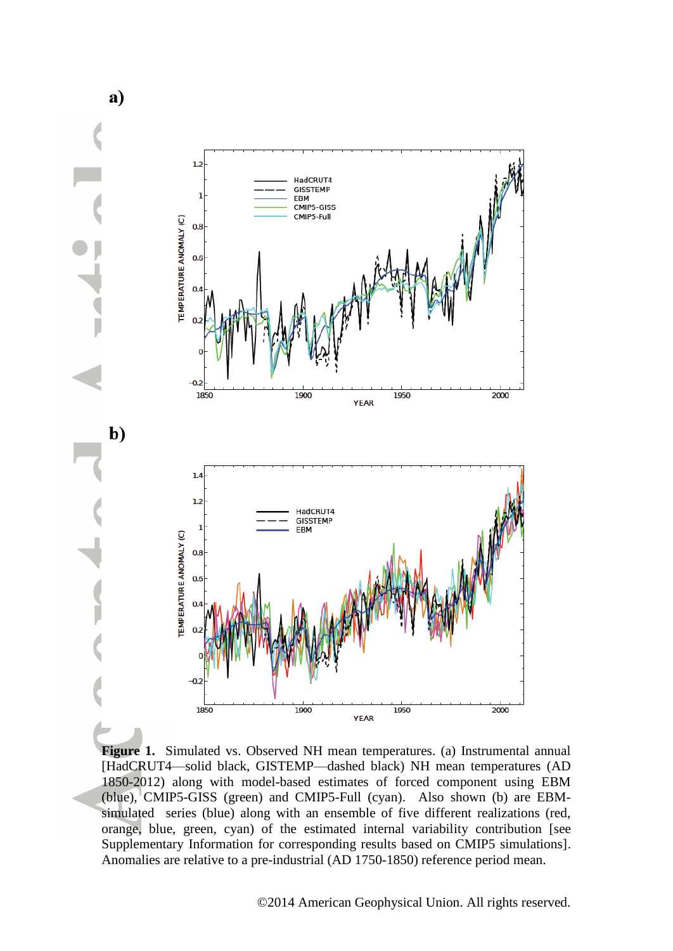

a)

**Figure 1.** Simulated vs. Observed NH mean temperatures. (a) Instrumental annual [HadCRUT4—solid black, GISTEMP—dashed black) NH mean temperatures (AD 1850-2012) along with model-based estimates of forced component using EBM (blue), CMIP5-GISS (green) and CMIP5-Full (cyan). Also shown (b) are EBMsimulated series (blue) along with an ensemble of five different realizations (red, orange, blue, green, cyan) of the estimated internal variability contribution [see Supplementary Information for corresponding results based on CMIP5 simulations]. Anomalies are relative to a pre-industrial (AD 1750-1850) reference period mean.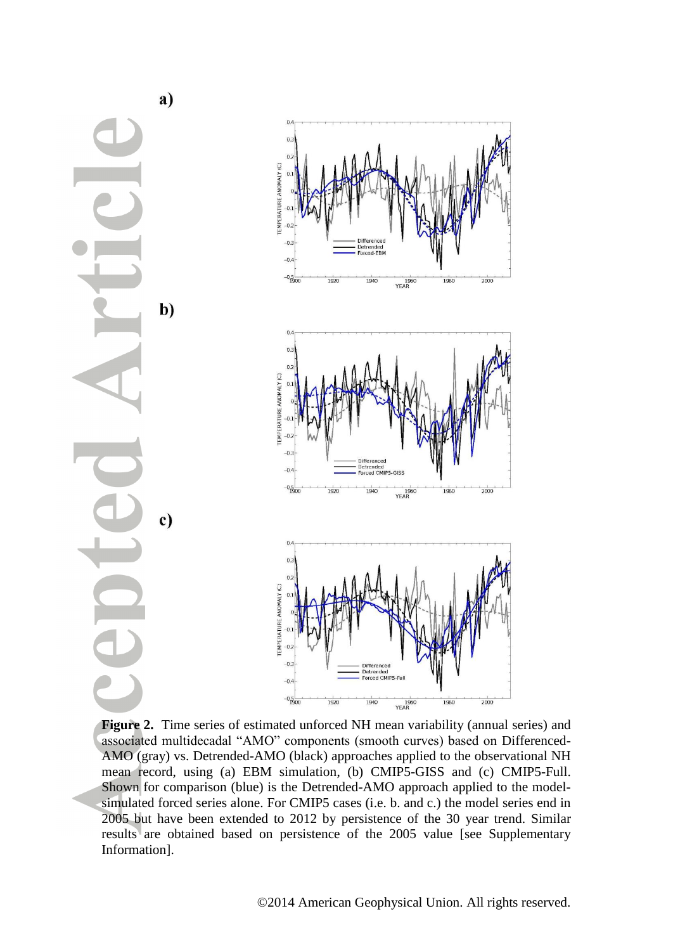

**Figure 2.** Time series of estimated unforced NH mean variability (annual series) and associated multidecadal "AMO" components (smooth curves) based on Differenced-AMO (gray) vs. Detrended-AMO (black) approaches applied to the observational NH mean record, using (a) EBM simulation, (b) CMIP5-GISS and (c) CMIP5-Full. Shown for comparison (blue) is the Detrended-AMO approach applied to the modelsimulated forced series alone. For CMIP5 cases (i.e. b. and c.) the model series end in 2005 but have been extended to 2012 by persistence of the 30 year trend. Similar results are obtained based on persistence of the 2005 value [see Supplementary Information].

 $2000$ 

 $2000$ 

 $\frac{1}{2000}$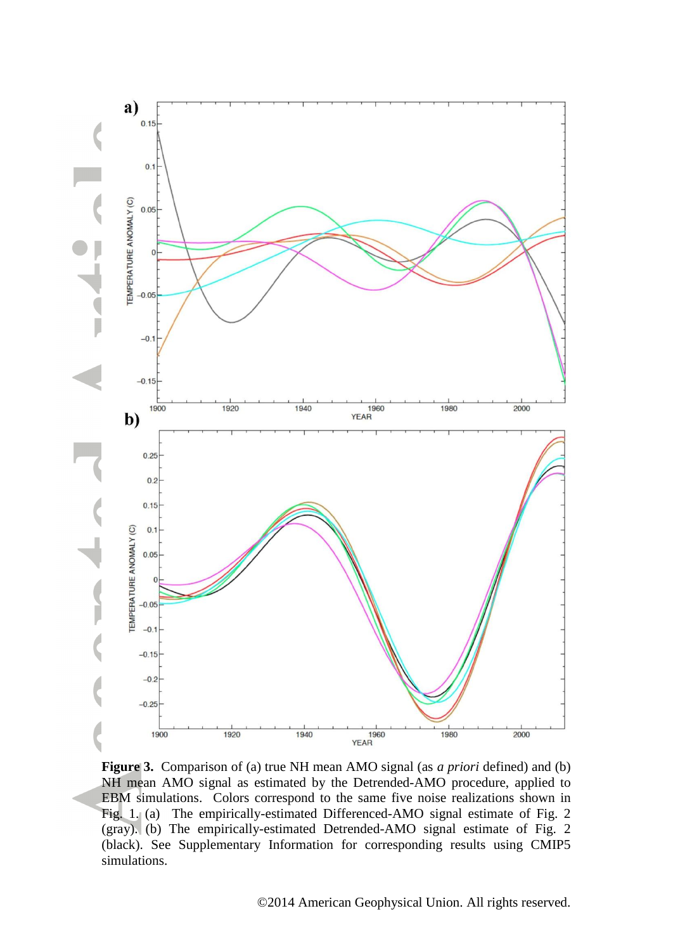

**Figure 3.** Comparison of (a) true NH mean AMO signal (as *a priori* defined) and (b) NH mean AMO signal as estimated by the Detrended-AMO procedure, applied to EBM simulations. Colors correspond to the same five noise realizations shown in Fig. 1. (a) The empirically-estimated Differenced-AMO signal estimate of Fig. 2 (gray). (b) The empirically-estimated Detrended-AMO signal estimate of Fig. 2 (black). See Supplementary Information for corresponding results using CMIP5 simulations.